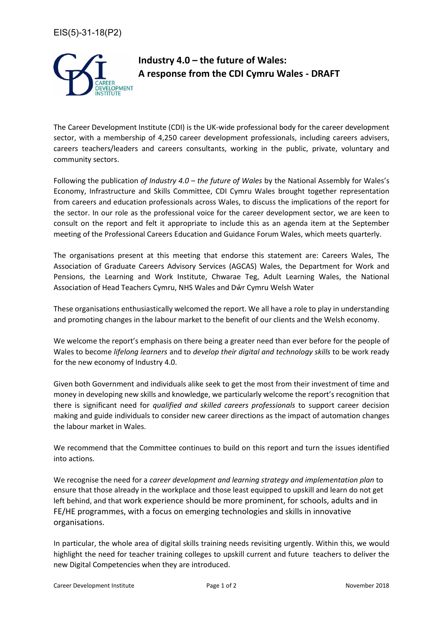

## **Industry 4.0 – the future of Wales: A response from the CDI Cymru Wales - DRAFT**

The Career Development Institute (CDI) is the UK-wide professional body for the career development sector, with a membership of 4,250 career development professionals, including careers advisers, careers teachers/leaders and careers consultants, working in the public, private, voluntary and community sectors.

Following the publication *of Industry 4.0 – the future of Wales* by the National Assembly for Wales's Economy, Infrastructure and Skills Committee, CDI Cymru Wales brought together representation from careers and education professionals across Wales, to discuss the implications of the report for the sector. In our role as the professional voice for the career development sector, we are keen to consult on the report and felt it appropriate to include this as an agenda item at the September meeting of the Professional Careers Education and Guidance Forum Wales, which meets quarterly.

The organisations present at this meeting that endorse this statement are: Careers Wales, The Association of Graduate Careers Advisory Services (AGCAS) Wales, the Department for Work and Pensions, the Learning and Work Institute, Chwarae Teg, Adult Learning Wales, the National Association of Head Teachers Cymru, NHS Wales and Dŵr Cymru Welsh Water

These organisations enthusiastically welcomed the report. We all have a role to play in understanding and promoting changes in the labour market to the benefit of our clients and the Welsh economy.

We welcome the report's emphasis on there being a greater need than ever before for the people of Wales to become *lifelong learners* and to *develop their digital and technology skills* to be work ready for the new economy of Industry 4.0.

Given both Government and individuals alike seek to get the most from their investment of time and money in developing new skills and knowledge, we particularly welcome the report's recognition that there is significant need for *qualified and skilled careers professionals* to support career decision making and guide individuals to consider new career directions as the impact of automation changes the labour market in Wales.

We recommend that the Committee continues to build on this report and turn the issues identified into actions.

We recognise the need for a *career development and learning strategy and implementation plan* to ensure that those already in the workplace and those least equipped to upskill and learn do not get left behind, and that work experience should be more prominent, for schools, adults and in FE/HE programmes, with a focus on emerging technologies and skills in innovative organisations.

In particular, the whole area of digital skills training needs revisiting urgently. Within this, we would highlight the need for teacher training colleges to upskill current and future teachers to deliver the new Digital Competencies when they are introduced.